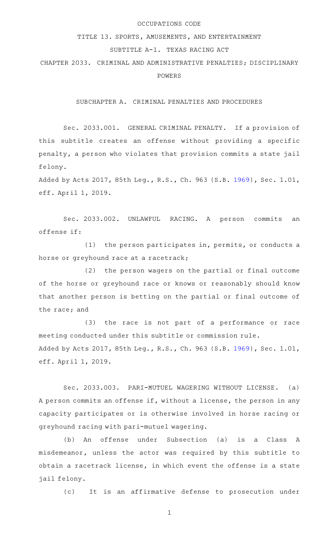#### OCCUPATIONS CODE

## TITLE 13. SPORTS, AMUSEMENTS, AND ENTERTAINMENT

### SUBTITLE A-1. TEXAS RACING ACT

CHAPTER 2033. CRIMINAL AND ADMINISTRATIVE PENALTIES; DISCIPLINARY POWERS

SUBCHAPTER A. CRIMINAL PENALTIES AND PROCEDURES

Sec. 2033.001. GENERAL CRIMINAL PENALTY. If a provision of this subtitle creates an offense without providing a specific penalty, a person who violates that provision commits a state jail felony.

Added by Acts 2017, 85th Leg., R.S., Ch. 963 (S.B. [1969](http://www.legis.state.tx.us/tlodocs/85R/billtext/html/SB01969F.HTM)), Sec. 1.01, eff. April 1, 2019.

Sec. 2033.002. UNLAWFUL RACING. A person commits an offense if:

 $(1)$  the person participates in, permits, or conducts a horse or greyhound race at a racetrack;

 $(2)$  the person wagers on the partial or final outcome of the horse or greyhound race or knows or reasonably should know that another person is betting on the partial or final outcome of the race; and

 $(3)$  the race is not part of a performance or race meeting conducted under this subtitle or commission rule. Added by Acts 2017, 85th Leg., R.S., Ch. 963 (S.B. [1969](http://www.legis.state.tx.us/tlodocs/85R/billtext/html/SB01969F.HTM)), Sec. 1.01, eff. April 1, 2019.

Sec. 2033.003. PARI-MUTUEL WAGERING WITHOUT LICENSE. (a) A person commits an offense if, without a license, the person in any capacity participates or is otherwise involved in horse racing or greyhound racing with pari-mutuel wagering.

(b) An offense under Subsection (a) is a Class A misdemeanor, unless the actor was required by this subtitle to obtain a racetrack license, in which event the offense is a state jail felony.

(c) It is an affirmative defense to prosecution under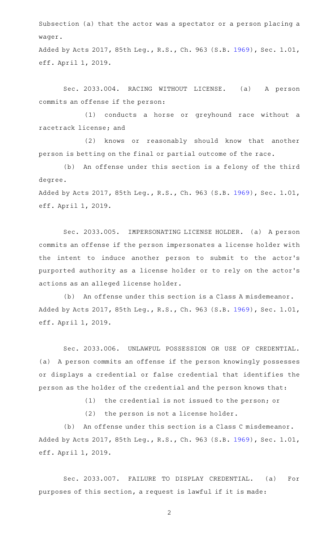Subsection (a) that the actor was a spectator or a person placing a wager.

Added by Acts 2017, 85th Leg., R.S., Ch. 963 (S.B. [1969](http://www.legis.state.tx.us/tlodocs/85R/billtext/html/SB01969F.HTM)), Sec. 1.01, eff. April 1, 2019.

Sec. 2033.004. RACING WITHOUT LICENSE. (a) A person commits an offense if the person:

(1) conducts a horse or greyhound race without a racetrack license; and

(2) knows or reasonably should know that another person is betting on the final or partial outcome of the race.

(b) An offense under this section is a felony of the third degree.

Added by Acts 2017, 85th Leg., R.S., Ch. 963 (S.B. [1969](http://www.legis.state.tx.us/tlodocs/85R/billtext/html/SB01969F.HTM)), Sec. 1.01, eff. April 1, 2019.

Sec. 2033.005. IMPERSONATING LICENSE HOLDER. (a) A person commits an offense if the person impersonates a license holder with the intent to induce another person to submit to the actor 's purported authority as a license holder or to rely on the actor 's actions as an alleged license holder.

(b) An offense under this section is a Class A misdemeanor. Added by Acts 2017, 85th Leg., R.S., Ch. 963 (S.B. [1969](http://www.legis.state.tx.us/tlodocs/85R/billtext/html/SB01969F.HTM)), Sec. 1.01, eff. April 1, 2019.

Sec. 2033.006. UNLAWFUL POSSESSION OR USE OF CREDENTIAL. (a) A person commits an offense if the person knowingly possesses or displays a credential or false credential that identifies the person as the holder of the credential and the person knows that:

 $(1)$  the credential is not issued to the person; or

 $(2)$  the person is not a license holder.

(b) An offense under this section is a Class C misdemeanor. Added by Acts 2017, 85th Leg., R.S., Ch. 963 (S.B. [1969](http://www.legis.state.tx.us/tlodocs/85R/billtext/html/SB01969F.HTM)), Sec. 1.01, eff. April 1, 2019.

Sec. 2033.007. FAILURE TO DISPLAY CREDENTIAL. (a) For purposes of this section, a request is lawful if it is made: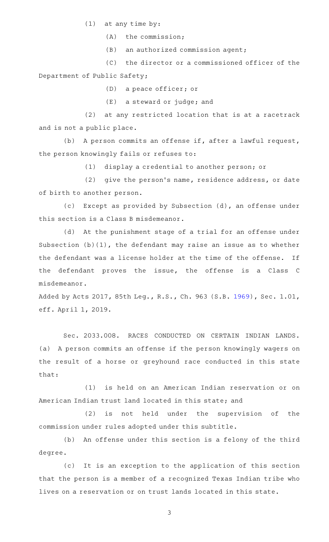$(1)$  at any time by:

 $(A)$  the commission;

 $(B)$  an authorized commission agent;

(C) the director or a commissioned officer of the Department of Public Safety;

(D) a peace officer; or

 $(E)$  a steward or judge; and

(2) at any restricted location that is at a racetrack and is not a public place.

(b) A person commits an offense if, after a lawful request, the person knowingly fails or refuses to:

(1) display a credential to another person; or

(2) give the person's name, residence address, or date of birth to another person.

(c) Except as provided by Subsection (d), an offense under this section is a Class B misdemeanor.

(d) At the punishment stage of a trial for an offense under Subsection (b)(1), the defendant may raise an issue as to whether the defendant was a license holder at the time of the offense. If the defendant proves the issue, the offense is a Class C misdemeanor.

Added by Acts 2017, 85th Leg., R.S., Ch. 963 (S.B. [1969](http://www.legis.state.tx.us/tlodocs/85R/billtext/html/SB01969F.HTM)), Sec. 1.01, eff. April 1, 2019.

Sec. 2033.008. RACES CONDUCTED ON CERTAIN INDIAN LANDS. (a) A person commits an offense if the person knowingly wagers on the result of a horse or greyhound race conducted in this state that:

(1) is held on an American Indian reservation or on American Indian trust land located in this state; and

 $(2)$  is not held under the supervision of the commission under rules adopted under this subtitle.

(b) An offense under this section is a felony of the third degree.

(c) It is an exception to the application of this section that the person is a member of a recognized Texas Indian tribe who lives on a reservation or on trust lands located in this state.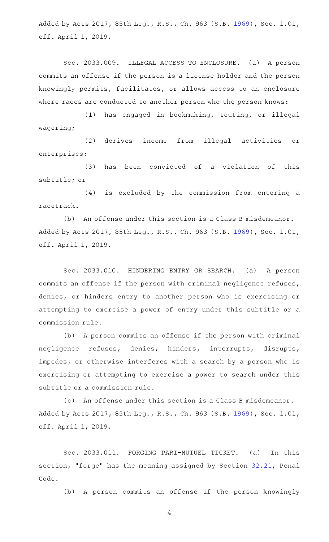Added by Acts 2017, 85th Leg., R.S., Ch. 963 (S.B. [1969](http://www.legis.state.tx.us/tlodocs/85R/billtext/html/SB01969F.HTM)), Sec. 1.01, eff. April 1, 2019.

Sec. 2033.009. ILLEGAL ACCESS TO ENCLOSURE. (a) A person commits an offense if the person is a license holder and the person knowingly permits, facilitates, or allows access to an enclosure where races are conducted to another person who the person knows:

(1) has engaged in bookmaking, touting, or illegal wagering;

(2) derives income from illegal activities or enterprises;

(3) has been convicted of a violation of this subtitle; or

(4) is excluded by the commission from entering a racetrack.

(b) An offense under this section is a Class B misdemeanor. Added by Acts 2017, 85th Leg., R.S., Ch. 963 (S.B. [1969](http://www.legis.state.tx.us/tlodocs/85R/billtext/html/SB01969F.HTM)), Sec. 1.01, eff. April 1, 2019.

Sec. 2033.010. HINDERING ENTRY OR SEARCH. (a) A person commits an offense if the person with criminal negligence refuses, denies, or hinders entry to another person who is exercising or attempting to exercise a power of entry under this subtitle or a commission rule.

(b) A person commits an offense if the person with criminal negligence refuses, denies, hinders, interrupts, disrupts, impedes, or otherwise interferes with a search by a person who is exercising or attempting to exercise a power to search under this subtitle or a commission rule.

(c) An offense under this section is a Class B misdemeanor. Added by Acts 2017, 85th Leg., R.S., Ch. 963 (S.B. [1969](http://www.legis.state.tx.us/tlodocs/85R/billtext/html/SB01969F.HTM)), Sec. 1.01, eff. April 1, 2019.

Sec. 2033.011. FORGING PARI-MUTUEL TICKET. (a) In this section, "forge" has the meaning assigned by Section [32.21,](http://www.statutes.legis.state.tx.us/GetStatute.aspx?Code=PE&Value=32.21) Penal Code.

(b) A person commits an offense if the person knowingly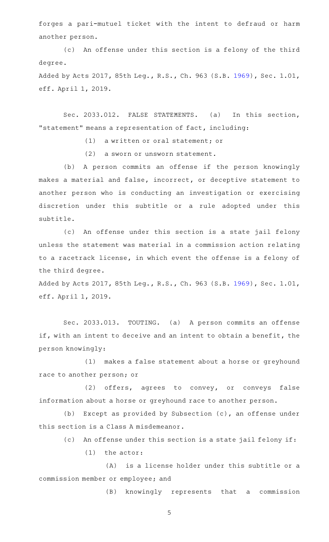forges a pari-mutuel ticket with the intent to defraud or harm another person.

(c) An offense under this section is a felony of the third degree.

Added by Acts 2017, 85th Leg., R.S., Ch. 963 (S.B. [1969](http://www.legis.state.tx.us/tlodocs/85R/billtext/html/SB01969F.HTM)), Sec. 1.01, eff. April 1, 2019.

Sec. 2033.012. FALSE STATEMENTS. (a) In this section, "statement" means a representation of fact, including:

(1) a written or oral statement; or

(2) a sworn or unsworn statement.

(b) A person commits an offense if the person knowingly makes a material and false, incorrect, or deceptive statement to another person who is conducting an investigation or exercising discretion under this subtitle or a rule adopted under this subtitle.

(c) An offense under this section is a state jail felony unless the statement was material in a commission action relating to a racetrack license, in which event the offense is a felony of the third degree.

Added by Acts 2017, 85th Leg., R.S., Ch. 963 (S.B. [1969](http://www.legis.state.tx.us/tlodocs/85R/billtext/html/SB01969F.HTM)), Sec. 1.01, eff. April 1, 2019.

Sec. 2033.013. TOUTING. (a) A person commits an offense if, with an intent to deceive and an intent to obtain a benefit, the person knowingly:

(1) makes a false statement about a horse or greyhound race to another person; or

(2) offers, agrees to convey, or conveys false information about a horse or greyhound race to another person.

(b) Except as provided by Subsection  $(c)$ , an offense under this section is a Class A misdemeanor.

(c) An offense under this section is a state jail felony if:

 $(1)$  the actor:

(A) is a license holder under this subtitle or a commission member or employee; and

(B) knowingly represents that a commission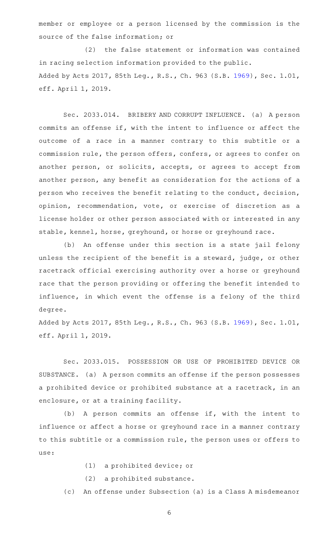member or employee or a person licensed by the commission is the source of the false information; or

(2) the false statement or information was contained in racing selection information provided to the public. Added by Acts 2017, 85th Leg., R.S., Ch. 963 (S.B. [1969](http://www.legis.state.tx.us/tlodocs/85R/billtext/html/SB01969F.HTM)), Sec. 1.01, eff. April 1, 2019.

Sec. 2033.014. BRIBERY AND CORRUPT INFLUENCE. (a) A person commits an offense if, with the intent to influence or affect the outcome of a race in a manner contrary to this subtitle or a commission rule, the person offers, confers, or agrees to confer on another person, or solicits, accepts, or agrees to accept from another person, any benefit as consideration for the actions of a person who receives the benefit relating to the conduct, decision, opinion, recommendation, vote, or exercise of discretion as a license holder or other person associated with or interested in any stable, kennel, horse, greyhound, or horse or greyhound race.

(b) An offense under this section is a state jail felony unless the recipient of the benefit is a steward, judge, or other racetrack official exercising authority over a horse or greyhound race that the person providing or offering the benefit intended to influence, in which event the offense is a felony of the third degree.

Added by Acts 2017, 85th Leg., R.S., Ch. 963 (S.B. [1969](http://www.legis.state.tx.us/tlodocs/85R/billtext/html/SB01969F.HTM)), Sec. 1.01, eff. April 1, 2019.

Sec. 2033.015. POSSESSION OR USE OF PROHIBITED DEVICE OR SUBSTANCE. (a) A person commits an offense if the person possesses a prohibited device or prohibited substance at a racetrack, in an enclosure, or at a training facility.

(b) A person commits an offense if, with the intent to influence or affect a horse or greyhound race in a manner contrary to this subtitle or a commission rule, the person uses or offers to use:

- (1) a prohibited device; or
- (2) a prohibited substance.

(c) An offense under Subsection (a) is a Class A misdemeanor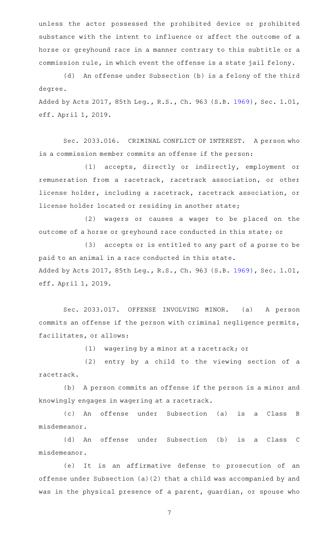unless the actor possessed the prohibited device or prohibited substance with the intent to influence or affect the outcome of a horse or greyhound race in a manner contrary to this subtitle or a commission rule, in which event the offense is a state jail felony.

(d) An offense under Subsection (b) is a felony of the third degree.

Added by Acts 2017, 85th Leg., R.S., Ch. 963 (S.B. [1969](http://www.legis.state.tx.us/tlodocs/85R/billtext/html/SB01969F.HTM)), Sec. 1.01, eff. April 1, 2019.

Sec. 2033.016. CRIMINAL CONFLICT OF INTEREST. A person who is a commission member commits an offense if the person:

(1) accepts, directly or indirectly, employment or remuneration from a racetrack, racetrack association, or other license holder, including a racetrack, racetrack association, or license holder located or residing in another state;

(2) wagers or causes a wager to be placed on the outcome of a horse or greyhound race conducted in this state; or

(3) accepts or is entitled to any part of a purse to be paid to an animal in a race conducted in this state. Added by Acts 2017, 85th Leg., R.S., Ch. 963 (S.B. [1969](http://www.legis.state.tx.us/tlodocs/85R/billtext/html/SB01969F.HTM)), Sec. 1.01, eff. April 1, 2019.

Sec. 2033.017. OFFENSE INVOLVING MINOR. (a) A person commits an offense if the person with criminal negligence permits, facilitates, or allows:

 $(1)$  wagering by a minor at a racetrack; or

(2) entry by a child to the viewing section of a racetrack.

(b) A person commits an offense if the person is a minor and knowingly engages in wagering at a racetrack.

(c)AAAn offense under Subsection (a) is a Class B misdemeanor.

(d) An offense under Subsection (b) is a Class C misdemeanor.

(e) It is an affirmative defense to prosecution of an offense under Subsection (a)(2) that a child was accompanied by and was in the physical presence of a parent, guardian, or spouse who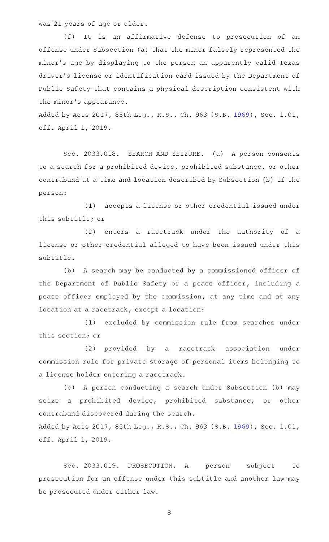was 21 years of age or older.

(f) It is an affirmative defense to prosecution of an offense under Subsection (a) that the minor falsely represented the minor 's age by displaying to the person an apparently valid Texas driver 's license or identification card issued by the Department of Public Safety that contains a physical description consistent with the minor 's appearance.

Added by Acts 2017, 85th Leg., R.S., Ch. 963 (S.B. [1969](http://www.legis.state.tx.us/tlodocs/85R/billtext/html/SB01969F.HTM)), Sec. 1.01, eff. April 1, 2019.

Sec. 2033.018. SEARCH AND SEIZURE. (a) A person consents to a search for a prohibited device, prohibited substance, or other contraband at a time and location described by Subsection (b) if the person:

(1) accepts a license or other credential issued under this subtitle; or

(2) enters a racetrack under the authority of a license or other credential alleged to have been issued under this subtitle.

(b) A search may be conducted by a commissioned officer of the Department of Public Safety or a peace officer, including a peace officer employed by the commission, at any time and at any location at a racetrack, except a location:

(1) excluded by commission rule from searches under this section; or

(2) provided by a racetrack association under commission rule for private storage of personal items belonging to a license holder entering a racetrack.

(c) A person conducting a search under Subsection (b) may seize a prohibited device, prohibited substance, or other contraband discovered during the search.

Added by Acts 2017, 85th Leg., R.S., Ch. 963 (S.B. [1969](http://www.legis.state.tx.us/tlodocs/85R/billtext/html/SB01969F.HTM)), Sec. 1.01, eff. April 1, 2019.

Sec. 2033.019. PROSECUTION. A person subject to prosecution for an offense under this subtitle and another law may be prosecuted under either law.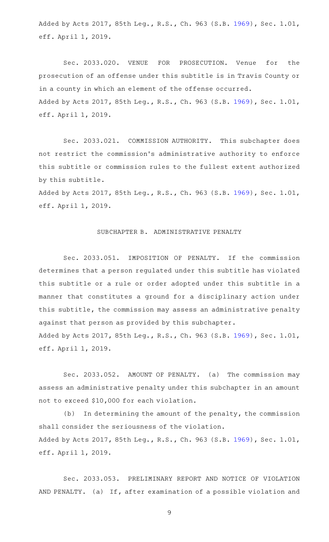Added by Acts 2017, 85th Leg., R.S., Ch. 963 (S.B. [1969](http://www.legis.state.tx.us/tlodocs/85R/billtext/html/SB01969F.HTM)), Sec. 1.01, eff. April 1, 2019.

Sec. 2033.020. VENUE FOR PROSECUTION. Venue for the prosecution of an offense under this subtitle is in Travis County or in a county in which an element of the offense occurred. Added by Acts 2017, 85th Leg., R.S., Ch. 963 (S.B. [1969](http://www.legis.state.tx.us/tlodocs/85R/billtext/html/SB01969F.HTM)), Sec. 1.01, eff. April 1, 2019.

Sec. 2033.021. COMMISSION AUTHORITY. This subchapter does not restrict the commission 's administrative authority to enforce this subtitle or commission rules to the fullest extent authorized by this subtitle.

Added by Acts 2017, 85th Leg., R.S., Ch. 963 (S.B. [1969](http://www.legis.state.tx.us/tlodocs/85R/billtext/html/SB01969F.HTM)), Sec. 1.01, eff. April 1, 2019.

### SUBCHAPTER B. ADMINISTRATIVE PENALTY

Sec. 2033.051. IMPOSITION OF PENALTY. If the commission determines that a person regulated under this subtitle has violated this subtitle or a rule or order adopted under this subtitle in a manner that constitutes a ground for a disciplinary action under this subtitle, the commission may assess an administrative penalty against that person as provided by this subchapter. Added by Acts 2017, 85th Leg., R.S., Ch. 963 (S.B. [1969](http://www.legis.state.tx.us/tlodocs/85R/billtext/html/SB01969F.HTM)), Sec. 1.01, eff. April 1, 2019.

Sec. 2033.052. AMOUNT OF PENALTY. (a) The commission may assess an administrative penalty under this subchapter in an amount not to exceed \$10,000 for each violation.

 $(b)$  In determining the amount of the penalty, the commission shall consider the seriousness of the violation. Added by Acts 2017, 85th Leg., R.S., Ch. 963 (S.B. [1969](http://www.legis.state.tx.us/tlodocs/85R/billtext/html/SB01969F.HTM)), Sec. 1.01, eff. April 1, 2019.

Sec. 2033.053. PRELIMINARY REPORT AND NOTICE OF VIOLATION AND PENALTY. (a) If, after examination of a possible violation and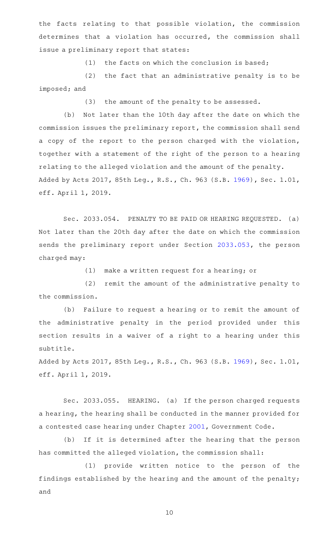the facts relating to that possible violation, the commission determines that a violation has occurred, the commission shall issue a preliminary report that states:

(1) the facts on which the conclusion is based;

 $(2)$  the fact that an administrative penalty is to be imposed; and

(3) the amount of the penalty to be assessed.

(b) Not later than the 10th day after the date on which the commission issues the preliminary report, the commission shall send a copy of the report to the person charged with the violation, together with a statement of the right of the person to a hearing relating to the alleged violation and the amount of the penalty. Added by Acts 2017, 85th Leg., R.S., Ch. 963 (S.B. [1969](http://www.legis.state.tx.us/tlodocs/85R/billtext/html/SB01969F.HTM)), Sec. 1.01, eff. April 1, 2019.

Sec. 2033.054. PENALTY TO BE PAID OR HEARING REQUESTED. (a) Not later than the 20th day after the date on which the commission sends the preliminary report under Section [2033.053,](http://www.statutes.legis.state.tx.us/GetStatute.aspx?Code=OC&Value=2033.053) the person charged may:

 $(1)$  make a written request for a hearing; or

(2) remit the amount of the administrative penalty to the commission.

(b) Failure to request a hearing or to remit the amount of the administrative penalty in the period provided under this section results in a waiver of a right to a hearing under this subtitle.

Added by Acts 2017, 85th Leg., R.S., Ch. 963 (S.B. [1969](http://www.legis.state.tx.us/tlodocs/85R/billtext/html/SB01969F.HTM)), Sec. 1.01, eff. April 1, 2019.

Sec. 2033.055. HEARING. (a) If the person charged requests a hearing, the hearing shall be conducted in the manner provided for a contested case hearing under Chapter [2001](http://www.statutes.legis.state.tx.us/GetStatute.aspx?Code=GV&Value=2001), Government Code.

(b) If it is determined after the hearing that the person has committed the alleged violation, the commission shall:

(1) provide written notice to the person of the findings established by the hearing and the amount of the penalty; and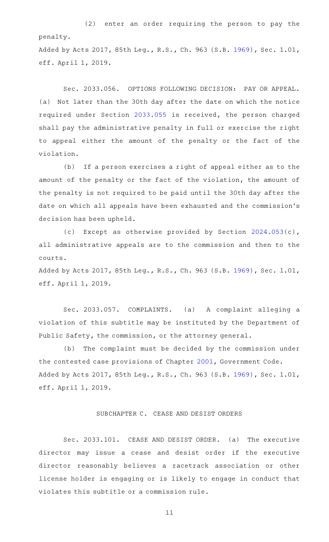(2) enter an order requiring the person to pay the penalty.

Added by Acts 2017, 85th Leg., R.S., Ch. 963 (S.B. [1969](http://www.legis.state.tx.us/tlodocs/85R/billtext/html/SB01969F.HTM)), Sec. 1.01, eff. April 1, 2019.

Sec. 2033.056. OPTIONS FOLLOWING DECISION: PAY OR APPEAL. (a) Not later than the 30th day after the date on which the notice required under Section [2033.055](http://www.statutes.legis.state.tx.us/GetStatute.aspx?Code=OC&Value=2033.055) is received, the person charged shall pay the administrative penalty in full or exercise the right to appeal either the amount of the penalty or the fact of the violation.

(b) If a person exercises a right of appeal either as to the amount of the penalty or the fact of the violation, the amount of the penalty is not required to be paid until the 30th day after the date on which all appeals have been exhausted and the commission 's decision has been upheld.

(c) Except as otherwise provided by Section  $2024.053(c)$  $2024.053(c)$ , all administrative appeals are to the commission and then to the courts.

Added by Acts 2017, 85th Leg., R.S., Ch. 963 (S.B. [1969](http://www.legis.state.tx.us/tlodocs/85R/billtext/html/SB01969F.HTM)), Sec. 1.01, eff. April 1, 2019.

Sec. 2033.057. COMPLAINTS. (a) A complaint alleging a violation of this subtitle may be instituted by the Department of Public Safety, the commission, or the attorney general.

(b) The complaint must be decided by the commission under the contested case provisions of Chapter [2001,](http://www.statutes.legis.state.tx.us/GetStatute.aspx?Code=GV&Value=2001) Government Code. Added by Acts 2017, 85th Leg., R.S., Ch. 963 (S.B. [1969](http://www.legis.state.tx.us/tlodocs/85R/billtext/html/SB01969F.HTM)), Sec. 1.01, eff. April 1, 2019.

#### SUBCHAPTER C. CEASE AND DESIST ORDERS

Sec. 2033.101. CEASE AND DESIST ORDER. (a) The executive director may issue a cease and desist order if the executive director reasonably believes a racetrack association or other license holder is engaging or is likely to engage in conduct that violates this subtitle or a commission rule.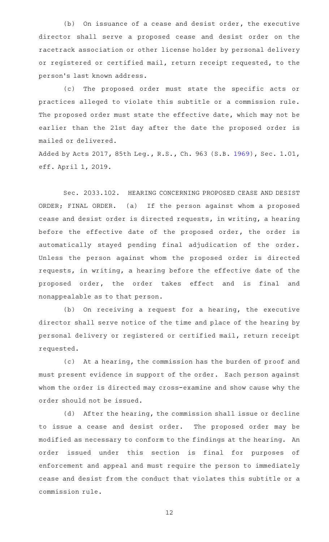$(b)$  On issuance of a cease and desist order, the executive director shall serve a proposed cease and desist order on the racetrack association or other license holder by personal delivery or registered or certified mail, return receipt requested, to the person 's last known address.

(c) The proposed order must state the specific acts or practices alleged to violate this subtitle or a commission rule. The proposed order must state the effective date, which may not be earlier than the 21st day after the date the proposed order is mailed or delivered.

Added by Acts 2017, 85th Leg., R.S., Ch. 963 (S.B. [1969](http://www.legis.state.tx.us/tlodocs/85R/billtext/html/SB01969F.HTM)), Sec. 1.01, eff. April 1, 2019.

Sec. 2033.102. HEARING CONCERNING PROPOSED CEASE AND DESIST ORDER; FINAL ORDER. (a) If the person against whom a proposed cease and desist order is directed requests, in writing, a hearing before the effective date of the proposed order, the order is automatically stayed pending final adjudication of the order. Unless the person against whom the proposed order is directed requests, in writing, a hearing before the effective date of the proposed order, the order takes effect and is final and nonappealable as to that person.

(b) On receiving a request for a hearing, the executive director shall serve notice of the time and place of the hearing by personal delivery or registered or certified mail, return receipt requested.

(c) At a hearing, the commission has the burden of proof and must present evidence in support of the order. Each person against whom the order is directed may cross-examine and show cause why the order should not be issued.

 $(d)$  After the hearing, the commission shall issue or decline to issue a cease and desist order. The proposed order may be modified as necessary to conform to the findings at the hearing. An order issued under this section is final for purposes of enforcement and appeal and must require the person to immediately cease and desist from the conduct that violates this subtitle or a commission rule.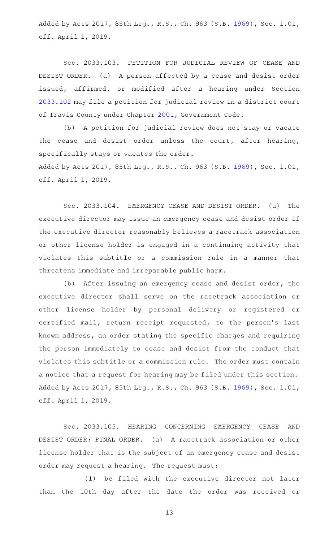Added by Acts 2017, 85th Leg., R.S., Ch. 963 (S.B. [1969](http://www.legis.state.tx.us/tlodocs/85R/billtext/html/SB01969F.HTM)), Sec. 1.01, eff. April 1, 2019.

Sec. 2033.103. PETITION FOR JUDICIAL REVIEW OF CEASE AND DESIST ORDER. (a) A person affected by a cease and desist order issued, affirmed, or modified after a hearing under Section [2033.102](http://www.statutes.legis.state.tx.us/GetStatute.aspx?Code=OC&Value=2033.102) may file a petition for judicial review in a district court of Travis County under Chapter [2001,](http://www.statutes.legis.state.tx.us/GetStatute.aspx?Code=GV&Value=2001) Government Code.

(b) A petition for judicial review does not stay or vacate the cease and desist order unless the court, after hearing, specifically stays or vacates the order.

Added by Acts 2017, 85th Leg., R.S., Ch. 963 (S.B. [1969](http://www.legis.state.tx.us/tlodocs/85R/billtext/html/SB01969F.HTM)), Sec. 1.01, eff. April 1, 2019.

Sec. 2033.104. EMERGENCY CEASE AND DESIST ORDER. (a) The executive director may issue an emergency cease and desist order if the executive director reasonably believes a racetrack association or other license holder is engaged in a continuing activity that violates this subtitle or a commission rule in a manner that threatens immediate and irreparable public harm.

(b) After issuing an emergency cease and desist order, the executive director shall serve on the racetrack association or other license holder by personal delivery or registered or certified mail, return receipt requested, to the person 's last known address, an order stating the specific charges and requiring the person immediately to cease and desist from the conduct that violates this subtitle or a commission rule. The order must contain a notice that a request for hearing may be filed under this section. Added by Acts 2017, 85th Leg., R.S., Ch. 963 (S.B. [1969](http://www.legis.state.tx.us/tlodocs/85R/billtext/html/SB01969F.HTM)), Sec. 1.01, eff. April 1, 2019.

Sec. 2033.105. HEARING CONCERNING EMERGENCY CEASE AND DESIST ORDER; FINAL ORDER. (a) A racetrack association or other license holder that is the subject of an emergency cease and desist order may request a hearing. The request must:

(1) be filed with the executive director not later than the 10th day after the date the order was received or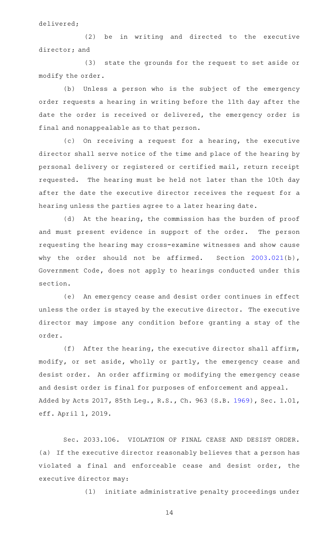delivered;

(2) be in writing and directed to the executive director; and

(3) state the grounds for the request to set aside or modify the order.

(b) Unless a person who is the subject of the emergency order requests a hearing in writing before the 11th day after the date the order is received or delivered, the emergency order is final and nonappealable as to that person.

(c) On receiving a request for a hearing, the executive director shall serve notice of the time and place of the hearing by personal delivery or registered or certified mail, return receipt requested. The hearing must be held not later than the 10th day after the date the executive director receives the request for a hearing unless the parties agree to a later hearing date.

(d) At the hearing, the commission has the burden of proof and must present evidence in support of the order. The person requesting the hearing may cross-examine witnesses and show cause why the order should not be affirmed. Section [2003.021\(](http://www.statutes.legis.state.tx.us/GetStatute.aspx?Code=GV&Value=2003.021)b), Government Code, does not apply to hearings conducted under this section.

(e) An emergency cease and desist order continues in effect unless the order is stayed by the executive director. The executive director may impose any condition before granting a stay of the order.

(f) After the hearing, the executive director shall affirm, modify, or set aside, wholly or partly, the emergency cease and desist order. An order affirming or modifying the emergency cease and desist order is final for purposes of enforcement and appeal. Added by Acts 2017, 85th Leg., R.S., Ch. 963 (S.B. [1969](http://www.legis.state.tx.us/tlodocs/85R/billtext/html/SB01969F.HTM)), Sec. 1.01, eff. April 1, 2019.

Sec. 2033.106. VIOLATION OF FINAL CEASE AND DESIST ORDER. (a) If the executive director reasonably believes that a person has violated a final and enforceable cease and desist order, the executive director may:

(1) initiate administrative penalty proceedings under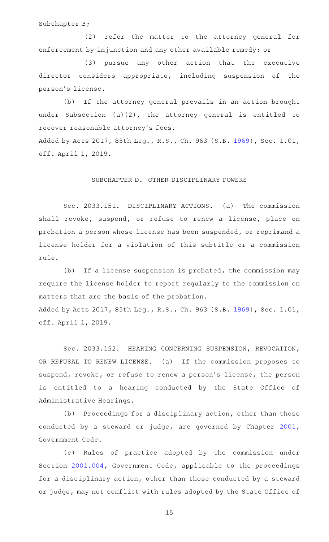Subchapter B;

(2) refer the matter to the attorney general for enforcement by injunction and any other available remedy; or

(3) pursue any other action that the executive director considers appropriate, including suspension of the person 's license.

(b) If the attorney general prevails in an action brought under Subsection (a)(2), the attorney general is entitled to recover reasonable attorney's fees.

Added by Acts 2017, 85th Leg., R.S., Ch. 963 (S.B. [1969](http://www.legis.state.tx.us/tlodocs/85R/billtext/html/SB01969F.HTM)), Sec. 1.01, eff. April 1, 2019.

# SUBCHAPTER D. OTHER DISCIPLINARY POWERS

Sec. 2033.151. DISCIPLINARY ACTIONS. (a) The commission shall revoke, suspend, or refuse to renew a license, place on probation a person whose license has been suspended, or reprimand a license holder for a violation of this subtitle or a commission rule.

(b) If a license suspension is probated, the commission may require the license holder to report regularly to the commission on matters that are the basis of the probation. Added by Acts 2017, 85th Leg., R.S., Ch. 963 (S.B. [1969](http://www.legis.state.tx.us/tlodocs/85R/billtext/html/SB01969F.HTM)), Sec. 1.01, eff. April 1, 2019.

Sec. 2033.152. HEARING CONCERNING SUSPENSION, REVOCATION, OR REFUSAL TO RENEW LICENSE. (a) If the commission proposes to suspend, revoke, or refuse to renew a person 's license, the person is entitled to a hearing conducted by the State Office of Administrative Hearings.

(b) Proceedings for a disciplinary action, other than those conducted by a steward or judge, are governed by Chapter [2001](http://www.statutes.legis.state.tx.us/GetStatute.aspx?Code=GV&Value=2001), Government Code.

(c) Rules of practice adopted by the commission under Section [2001.004](http://www.statutes.legis.state.tx.us/GetStatute.aspx?Code=GV&Value=2001.004), Government Code, applicable to the proceedings for a disciplinary action, other than those conducted by a steward or judge, may not conflict with rules adopted by the State Office of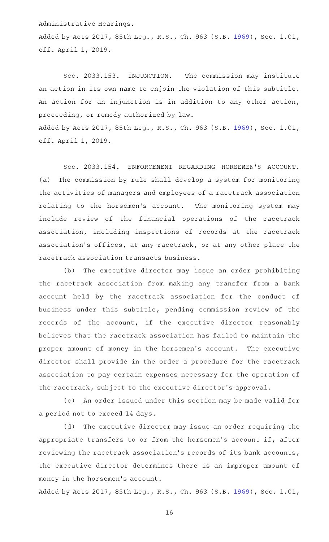Administrative Hearings.

Added by Acts 2017, 85th Leg., R.S., Ch. 963 (S.B. [1969](http://www.legis.state.tx.us/tlodocs/85R/billtext/html/SB01969F.HTM)), Sec. 1.01, eff. April 1, 2019.

Sec. 2033.153. INJUNCTION. The commission may institute an action in its own name to enjoin the violation of this subtitle. An action for an injunction is in addition to any other action, proceeding, or remedy authorized by law. Added by Acts 2017, 85th Leg., R.S., Ch. 963 (S.B. [1969](http://www.legis.state.tx.us/tlodocs/85R/billtext/html/SB01969F.HTM)), Sec. 1.01, eff. April 1, 2019.

Sec. 2033.154. ENFORCEMENT REGARDING HORSEMEN'S ACCOUNT. (a) The commission by rule shall develop a system for monitoring the activities of managers and employees of a racetrack association relating to the horsemen's account. The monitoring system may include review of the financial operations of the racetrack association, including inspections of records at the racetrack association 's offices, at any racetrack, or at any other place the racetrack association transacts business.

(b) The executive director may issue an order prohibiting the racetrack association from making any transfer from a bank account held by the racetrack association for the conduct of business under this subtitle, pending commission review of the records of the account, if the executive director reasonably believes that the racetrack association has failed to maintain the proper amount of money in the horsemen's account. The executive director shall provide in the order a procedure for the racetrack association to pay certain expenses necessary for the operation of the racetrack, subject to the executive director 's approval.

(c) An order issued under this section may be made valid for a period not to exceed 14 days.

(d) The executive director may issue an order requiring the appropriate transfers to or from the horsemen's account if, after reviewing the racetrack association 's records of its bank accounts, the executive director determines there is an improper amount of money in the horsemen 's account.

Added by Acts 2017, 85th Leg., R.S., Ch. 963 (S.B. [1969](http://www.legis.state.tx.us/tlodocs/85R/billtext/html/SB01969F.HTM)), Sec. 1.01,